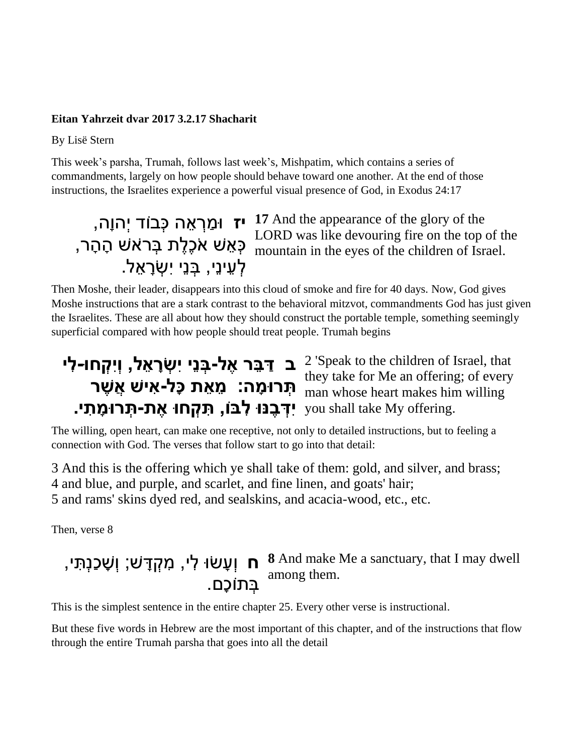#### **Eitan Yahrzeit dvar 2017 3.2.17 Shacharit**

By Lisë Stern

This week's parsha, Trumah, follows last week's, Mishpatim, which contains a series of commandments, largely on how people should behave toward one another. At the end of those instructions, the Israelites experience a powerful visual presence of God, in Exodus 24:17

# ַלְעֵינֵי, בְּנֵי יִשְׂרָאֵל.

**יז** וּמַרְאֵה כְּבוֹד יְהוָה, **17** And the appearance of the glory of the ר הַבְּיִהְיָהָי וּ LORD was like devouring fire on the top of the<br>הְוּחוֹמוּה in the eves of the children of Israel mountain in the eyes of the children of Israel.

Then Moshe, their leader, disappears into this cloud of smoke and fire for 40 days. Now, God gives Moshe instructions that are a stark contrast to the behavioral mitzvot, commandments God has just given the Israelites. These are all about how they should construct the portable temple, something seemingly superficial compared with how people should treat people. Trumah begins

## **ב דַּבֵּר אֶל-בְּנֵי יִשְׂרָאֵל, וְיִקְחו-לִי** 2 'Speak to the children of Israel, that י דְּיִ<sup>בָּ ה</sup>ִי דְּיִם itey take for Me an offering; of every<br>**מְּרוּמָה: מֵאֵת כָּל-אִישׁ אֲשֶר** . you shall take My offering **יִדְּבֶנּוּ לִבּוֹ, תִּקְחוּ אֶת-תְּרוּמָתִי** man whose heart makes him willing

The willing, open heart, can make one receptive, not only to detailed instructions, but to feeling a connection with God. The verses that follow start to go into that detail:

3 And this is the offering which ye shall take of them: gold, and silver, and brass; 4 and blue, and purple, and scarlet, and fine linen, and goats' hair; 5 and rams' skins dyed red, and sealskins, and acacia-wood, etc., etc.

Then, verse 8

## **ח** וְעָשׂוּ לִי, מִקְדָּשׁ; וְשָׁכַנְתִּי, sand make Me a sanctuary, that I may dwell ּבְתוֹכָם.<br>בְּתוֹכָם.

This is the simplest sentence in the entire chapter 25. Every other verse is instructional.

But these five words in Hebrew are the most important of this chapter, and of the instructions that flow through the entire Trumah parsha that goes into all the detail